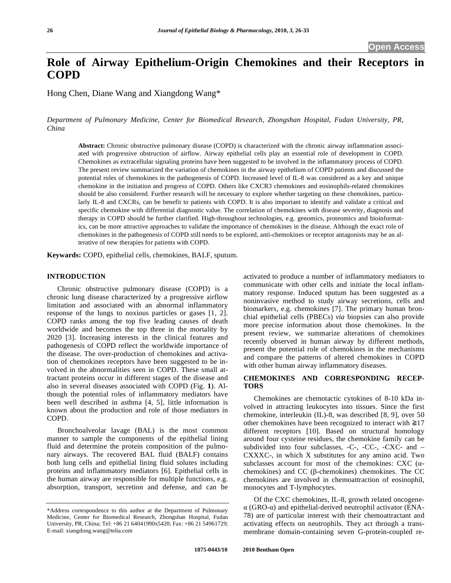# **Role of Airway Epithelium-Origin Chemokines and their Receptors in COPD**

Hong Chen, Diane Wang and Xiangdong Wang\*

*Department of Pulmonary Medicine, Center for Biomedical Research, Zhongshan Hospital, Fudan University, PR, China* 

**Abstract:** Chronic obstructive pulmonary disease (COPD) is characterized with the chronic airway inflammation associated with progressive obstruction of airflow. Airway epithelial cells play an essential role of development in COPD. Chemokines as extracellular signaling proteins have been suggested to be involved in the inflammatory process of COPD. The present review summarized the variation of chemokines in the airway epithelium of COPD patients and discussed the potential roles of chemokines in the pathogenesis of COPD. Increased level of IL-8 was considered as a key and unique chemokine in the initiation and progress of COPD. Others like CXCR3 chemokines and eosinophils-related chemokines should be also considered. Further research will be necessary to explore whether targeting on these chemokines, particularly IL-8 and CXCRs, can be benefit to patients with COPD. It is also important to identify and validate a critical and specific chemokine with differential diagnostic value. The correlation of chemokines with disease severity, diagnosis and therapy in COPD should be further clarified. High-throughout technologies, e.g. genomics, proteomics and bioinformatics, can be more attractive approaches to validate the importance of chemokines in the disease. Although the exact role of chemokines in the pathogenesis of COPD still needs to be explored, anti-chemokines or receptor antagonists may be an alterative of new therapies for patients with COPD.

**Keywards:** COPD, epithelial cells, chemokines, BALF, sputum.

## **INTRODUCTION**

 Chronic obstructive pulmonary disease (COPD) is a chronic lung disease characterized by a progressive airflow limitation and associated with an abnormal inflammatory response of the lungs to noxious particles or gases [1, 2]. COPD ranks among the top five leading causes of death worldwide and becomes the top three in the mortality by 2020 [3]. Increasing interests in the clinical features and pathogenesis of COPD reflect the worldwide importance of the disease. The over-production of chemokines and activation of chemokines receptors have been suggested to be involved in the abnormalities seen in COPD. These small attractant proteins occur in different stages of the disease and also in several diseases associated with COPD (Fig. **1**). Although the potential roles of inflammatory mediators have been well described in asthma [4, 5], little information is known about the production and role of those mediators in COPD.

 Bronchoalveolar lavage (BAL) is the most common manner to sample the components of the epithelial lining fluid and determine the protein composition of the pulmonary airways. The recovered BAL fluid (BALF) contains both lung cells and epithelial lining fluid solutes including proteins and inflammatory mediators [6]. Epithelial cells in the human airway are responsible for multiple functions, e.g. absorption, transport, secretion and defense, and can be

activated to produce a number of inflammatory mediators to communicate with other cells and initiate the local inflammatory response. Induced sputum has been suggested as a noninvasive method to study airway secretions, cells and biomarkers, e.g. chemokines [7]. The primary human bronchial epithelial cells (PBECs) *via* biopsies can also provide more precise information about those chemokines. In the present review, we summarize alterations of chemokines recently observed in human airway by different methods, present the potential role of chemokines in the mechanisms and compare the patterns of altered chemokines in COPD with other human airway inflammatory diseases.

## **CHEMOKINES AND CORRESPONDING RECEP-TORS**

 Chemokines are chemotactic cytokines of 8-10 kDa involved in attracting leukocytes into tissues. Since the first chemokine, interleukin (IL)-8, was described [8, 9], over 50 other chemokines have been recognized to interact with ≧17 different receptors [10]. Based on structural homology around four cysteine residues, the chemokine family can be subdivided into four subclasses, -C-, -CC-, -CXC- and – CXXXC-, in which X substitutes for any amino acid. Two subclasses account for most of the chemokines: CXC  $(\alpha$ chemokines) and CC ( $\beta$ -chemokines) chemokines. The CC chemokines are involved in chemoattraction of eosinophil, monocytes and T-lymphocytes.

 Of the CXC chemokines, IL-8, growth related oncogene-  $\alpha$  (GRO- $\alpha$ ) and epithelial-derived neutrophil activator (ENA-78) are of particular interest with their chemoattractant and activating effects on neutrophils. They act through a transmembrane domain-containing seven G-protein-coupled re-

<sup>\*</sup>Address correspondence to this author at the Department of Pulmonary Medicine, Center for Biomedical Research, Zhongshan Hospital, Fudan University, PR, China; Tel: +86 21 64041990x5420; Fax: +86 21 54961729; E-mail: xiangdong.wang@telia.com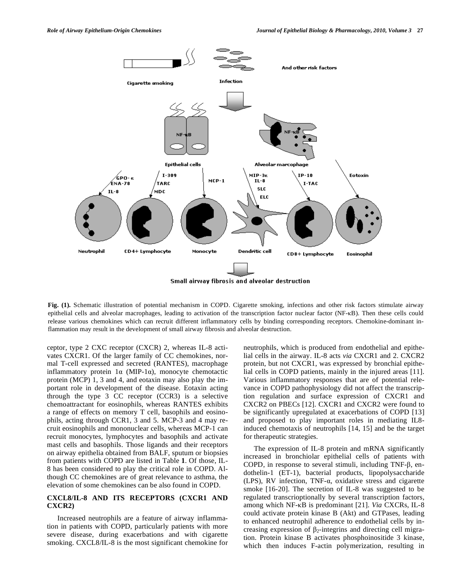

**Fig. (1).** Schematic illustration of potential mechanism in COPD. Cigarette smoking, infections and other risk factors stimulate airway epithelial cells and alveolar macrophages, leading to activation of the transcription factor nuclear factor (NF- $\kappa$ B). Then these cells could release various chemokines which can recruit different inflammatory cells by binding corresponding receptors. Chemokine-dominant inflammation may result in the development of small airway fibrosis and alveolar destruction.

ceptor, type 2 CXC receptor (CXCR) 2, whereas IL-8 activates CXCR1. Of the larger family of CC chemokines, normal T-cell expressed and secreted (RANTES), macrophage inflammatory protein  $1\alpha$  (MIP-1 $\alpha$ ), monocyte chemotactic protein (MCP) 1, 3 and 4, and eotaxin may also play the important role in development of the disease. Eotaxin acting through the type 3 CC receptor (CCR3) is a selective chemoattractant for eosinophils, whereas RANTES exhibits a range of effects on memory T cell, basophils and eosinophils, acting through CCR1, 3 and 5. MCP-3 and 4 may recruit eosinophils and mononuclear cells, whereas MCP-1 can recruit monocytes, lymphocytes and basophils and activate mast cells and basophils. Those ligands and their receptors on airway epithelia obtained from BALF, sputum or biopsies from patients with COPD are listed in Table **1**. Of those, IL-8 has been considered to play the critical role in COPD. Although CC chemokines are of great relevance to asthma, the elevation of some chemokines can be also found in COPD.

## **CXCL8/IL-8 AND ITS RECEPTORS (CXCR1 AND CXCR2)**

 Increased neutrophils are a feature of airway inflammation in patients with COPD, particularly patients with more severe disease, during exacerbations and with cigarette smoking. CXCL8/IL-8 is the most significant chemokine for neutrophils, which is produced from endothelial and epithelial cells in the airway. IL-8 acts *via* CXCR1 and 2. CXCR2 protein, but not CXCR1, was expressed by bronchial epithelial cells in COPD patients, mainly in the injured areas [11]. Various inflammatory responses that are of potential relevance in COPD pathophysiology did not affect the transcription regulation and surface expression of CXCR1 and CXCR2 on PBECs [12]. CXCR1 and CXCR2 were found to be significantly upregulated at exacerbations of COPD [13] and proposed to play important roles in mediating IL8 induced chemotaxis of neutrophils [14, 15] and be the target for therapeutic strategies.

 The expression of IL-8 protein and mRNA significantly increased in bronchiolar epithelial cells of patients with COPD, in response to several stimuli, including  $TNF-\beta$ , endothelin-1 (ET-1), bacterial products, lipopolysaccharide (LPS), RV infection, TNF- $\alpha$ , oxidative stress and cigarette smoke [16-20]. The secretion of IL-8 was suggested to be regulated transcrioptionally by several transcription factors, among which NF-KB is predominant [21]. *Via* CXCRs, IL-8 could activate protein kinase B (Akt) and GTPases, leading to enhanced neutrophil adherence to endothelial cells by increasing expression of  $\beta_2$ -integrins and directing cell migration. Protein kinase B activates phosphoinositide 3 kinase, which then induces F-actin polymerization, resulting in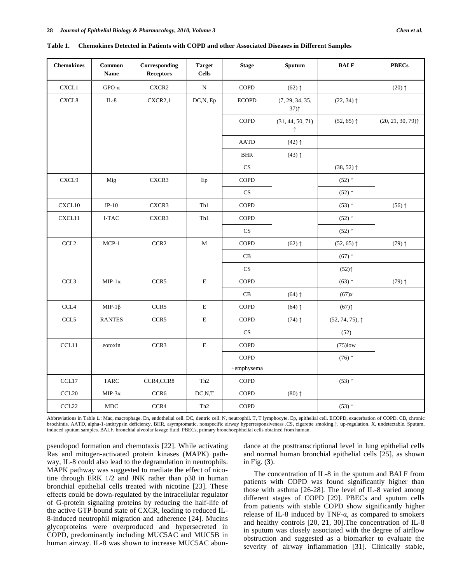| <b>Chemokines</b>                 | Common<br><b>Name</b> | Corresponding<br><b>Receptors</b> | <b>Target</b><br><b>Cells</b> | <b>Stage</b>           | Sputum                         | <b>BALF</b>                             | <b>PBECs</b>     |
|-----------------------------------|-----------------------|-----------------------------------|-------------------------------|------------------------|--------------------------------|-----------------------------------------|------------------|
| CXCL1                             | $GPO-\alpha$          | CXCR2                             | ${\rm N}$                     | <b>COPD</b>            | $(62)$ ↑                       |                                         | $(20)$ ↑         |
| CXCL8                             | $IL-8$                | CXCR2,1                           | DC,N, Ep                      | <b>ECOPD</b>           | (7, 29, 34, 35,<br>37)         | $(22, 34)$ 1                            |                  |
|                                   |                       |                                   |                               | <b>COPD</b>            | (31, 44, 50, 71)<br>$\uparrow$ | $(52, 65)$ ↑                            | (20, 21, 30, 79) |
|                                   |                       |                                   |                               | <b>AATD</b>            | $(42)$ ↑                       |                                         |                  |
|                                   |                       |                                   |                               | $_{\rm BHR}$           | $(43)$ ↑                       |                                         |                  |
|                                   |                       |                                   |                               | $\mathbf{C}\mathbf{S}$ |                                | $(38, 52)$ ↑                            |                  |
| CXCL9                             | Mig                   | CXCR3                             | Ep                            | COPD                   |                                | $(52)$ ↑                                |                  |
|                                   |                       |                                   |                               | $\mathbf{C}\mathbf{S}$ |                                | $(52)$ ↑                                |                  |
| CXCL10                            | IP- $10$              | CXCR3                             | ${\rm Th}1$                   | <b>COPD</b>            |                                | $(53)$ ↑                                | $(56)$ ↑         |
| CXCL11                            | I-TAC                 | CXCR3                             | Th1                           | COPD                   |                                | $(52)$ ↑                                |                  |
|                                   |                       |                                   |                               | $\mathbf{C}\mathbf{S}$ |                                | $(52)$ ↑                                |                  |
| $\ensuremath{\text{CCL2}}\xspace$ | $MCP-1$               | CCR <sub>2</sub>                  | M                             | <b>COPD</b>            | $(62)$ ↑                       | $(52, 65)$ 1                            | $(79)$ ↑         |
|                                   |                       |                                   |                               | $\mathbf C\mathbf B$   |                                | $(67)$ ↑                                |                  |
|                                   |                       |                                   |                               | CS                     |                                | (52)                                    |                  |
| CCL <sub>3</sub>                  | MIP-1 $\alpha$        | CCR5                              | $\mathbf E$                   | <b>COPD</b>            |                                | $(63)$ ↑                                | $(79)$ ↑         |
|                                   |                       |                                   |                               | CB                     | $(64)$ ↑                       | (67)x                                   |                  |
| CCL <sub>4</sub>                  | MIP-1 $\beta$         | CCR5                              | Е                             | <b>COPD</b>            | $(64)$ ↑                       | $(67)$ <sup><math>\uparrow</math></sup> |                  |
| CCL5                              | <b>RANTES</b>         | CCR5                              | $\mathbf E$                   | <b>COPD</b>            | $(74)$ ↑                       | $(52, 74, 75)$ , $\uparrow$             |                  |
|                                   |                       |                                   |                               | $\mathbf{C}\mathbf{S}$ |                                | (52)                                    |                  |
| CCL11                             | eotoxin               | CCR3                              | $\mathbf E$                   | COPD                   |                                | $(75)$ low                              |                  |
|                                   |                       |                                   |                               | COPD<br>+emphysema     |                                | $(76)$ ↑                                |                  |
| CCL17                             | <b>TARC</b>           | CCR4,CCR8                         | Th <sub>2</sub>               | COPD                   |                                | $(53)$ ↑                                |                  |
| CCL20                             | MIP-3 $\alpha$        | CCR <sub>6</sub>                  | DC, N, T                      | <b>COPD</b>            | $(80)$ $\uparrow$              |                                         |                  |
| CCL22                             | MDC                   | CCR4                              | Th <sub>2</sub>               | <b>COPD</b>            |                                | $(53)$ ↑                                |                  |

**Table 1. Chemokines Detected in Patients with COPD and other Associated Diseases in Different Samples** 

Abbreviations in Table **1**.: Mac, macrophage. En, endothelial cell. DC, dentric cell. N, neutrophil. T, T lymphocyte. Ep, epithelial cell. ECOPD, exacerbation of COPD. CB, chronic brochintis. AATD, alpha-1-antitrypsin deficiency. BHR, asymptomatic, nonspecific airway hyperresponsiveness .CS, cigarette smoking.-, up-regulation. X, undetectable. Sputum, induced sputum samples. BALF, bronchial alveolar lavage fluid. PBECs, primary bronchoepithelial cells obtained from human.

pseudopod formation and chemotaxis [22]. While activating Ras and mitogen-activated protein kinases (MAPK) pathway, IL-8 could also lead to the degranulation in neutrophils. MAPK pathway was suggested to mediate the effect of nicotine through ERK 1/2 and JNK rather than p38 in human bronchial epithelial cells treated with nicotine [23]. These effects could be down-regulated by the intracellular regulator of G-protein signaling proteins by reducing the half-life of the active GTP-bound state of CXCR, leading to reduced IL-8-induced neutrophil migration and adherence [24]. Mucins glycoproteins were overproduced and hypersecreted in COPD, predominantly including MUC5AC and MUC5B in human airway. IL-8 was shown to increase MUC5AC abundance at the posttranscriptional level in lung epithelial cells and normal human bronchial epithelial cells [25], as shown in Fig. (**3**).

 The concentration of IL-8 in the sputum and BALF from patients with COPD was found significantly higher than those with asthma [26-28]. The level of IL-8 varied among different stages of COPD [29]. PBECs and sputum cells from patients with stable COPD show significantly higher release of IL-8 induced by TNF- $\alpha$ , as compared to smokers and healthy controls [20, 21, 30].The concentration of IL-8 in sputum was closely associated with the degree of airflow obstruction and suggested as a biomarker to evaluate the severity of airway inflammation [31]. Clinically stable,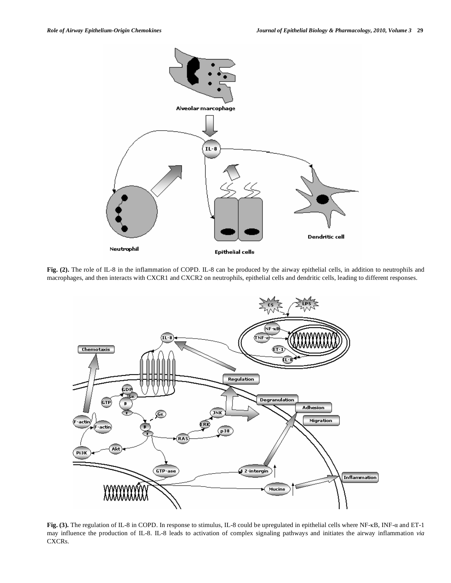

**Fig. (2).** The role of IL-8 in the inflammation of COPD. IL-8 can be produced by the airway epithelial cells, in addition to neutrophils and macrophages, and then interacts with CXCR1 and CXCR2 on neutrophils, epithelial cells and dendritic cells, leading to different responses.



Fig. (3). The regulation of IL-8 in COPD. In response to stimulus, IL-8 could be upregulated in epithelial cells where NF-KB, INF-a and ET-1 may influence the production of IL-8. IL-8 leads to activation of complex signaling pathways and initiates the airway inflammation *via*  CXCRs.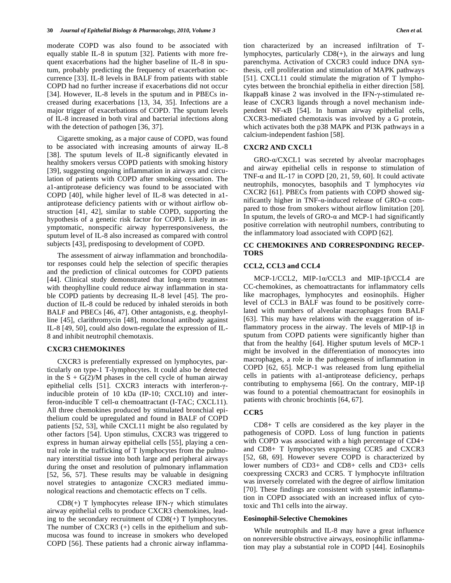moderate COPD was also found to be associated with equally stable IL-8 in sputum [32]. Patients with more frequent exacerbations had the higher baseline of IL-8 in sputum, probably predicting the frequency of exacerbation occurrence [33]. IL-8 levels in BALF from patients with stable COPD had no further increase if exacerbations did not occur [34]. However, IL-8 levels in the sputum and in PBECs increased during exacerbations [13, 34, 35]. Infections are a major trigger of exacerbations of COPD. The sputum levels of IL-8 increased in both viral and bacterial infections along with the detection of pathogen [36, 37].

 Cigarette smoking, as a major cause of COPD, was found to be associated with increasing amounts of airway IL-8 [38]. The sputum levels of IL-8 significantly elevated in healthy smokers versus COPD patients with smoking history [39], suggesting ongoing inflammation in airways and circulation of patients with COPD after smoking cessation. The a1-antiprotease deficiency was found to be associated with COPD [40], while higher level of IL-8 was detected in a1 antiprotease deficiency patients with or without airflow obstruction [41, 42], similar to stable COPD, supporting the hypothesis of a genetic risk factor for COPD. Likely in asymptomatic, nonspecific airway hyperresponsiveness, the sputum level of IL-8 also increased as compared with control subjects [43], predisposing to development of COPD.

 The assessment of airway inflammation and bronchodilator responses could help the selection of specific therapies and the prediction of clinical outcomes for COPD patients [44]. Clinical study demonstrated that long-term treatment with theophylline could reduce airway inflammation in stable COPD patients by decreasing IL-8 level [45]. The production of IL-8 could be reduced by inhaled steroids in both BALF and PBECs [46, 47]. Other antagonists, e.g. theophylline [45], clarithromycin [48], monoclonal antibody against IL-8 [49, 50], could also down-regulate the expression of IL-8 and inhibit neutrophil chemotaxis.

#### **CXCR3 CHEMOKINES**

 CXCR3 is preferentially expressed on lymphocytes, particularly on type-1 T-lymphocytes. It could also be detected in the  $S + G(2)/M$  phases in the cell cycle of human airway epithelial cells [51]. CXCR3 interacts with interferon- $\gamma$ inducible protein of 10 kDa (IP-10; CXCL10) and interferon-inducible  $T$  cell- $\alpha$  chemoattractant (I-TAC; CXCL11). All three chemokines produced by stimulated bronchial epithelium could be upregulated and found in BALF of COPD patients [52, 53], while CXCL11 might be also regulated by other factors [54]. Upon stimulus, CXCR3 was triggered to express in human airway epithelial cells [55], playing a central role in the trafficking of T lymphocytes from the pulmonary interstitial tissue into both large and peripheral airways during the onset and resolution of pulmonary inflammation [52, 56, 57]. These results may be valuable in designing novel strategies to antagonize CXCR3 mediated immunological reactions and chemotactic effects on T cells.

CD8(+) T lymphocytes release IFN- $\gamma$  which stimulates airway epithelial cells to produce CXCR3 chemokines, leading to the secondary recruitment of  $CD8(+)$  T lymphocytes. The number of CXCR3 (+) cells in the epithelium and submucosa was found to increase in smokers who developed COPD [56]. These patients had a chronic airway inflammation characterized by an increased infiltration of Tlymphocytes, particularly CD8(+), in the airways and lung parenchyma. Activation of CXCR3 could induce DNA synthesis, cell proliferation and stimulation of MAPK pathways [51]. CXCL11 could stimulate the migration of T lymphocytes between the bronchial epithelia in either direction [58]. IkappaB kinase 2 was involved in the IFN- $\gamma$ -stimulated release of CXCR3 ligands through a novel mechanism independent NF-KB [54]. In human airway epithelial cells, CXCR3-mediated chemotaxis was involved by a G protein, which activates both the p38 MAPK and PI3K pathways in a calcium-independent fashion [58].

#### **CXCR2 AND CXCL1**

 $GRO-\alpha/CXCL1$  was secreted by alveolar macrophages and airway epithelial cells in response to stimulation of TNF- $\alpha$  and IL-17 in COPD [20, 21, 59, 60]. It could activate neutrophils, monocytes, basophils and T lymphocytes *via*  CXCR2 [61]. PBECs from patients with COPD showed significantly higher in TNF- $\alpha$ -induced release of GRO- $\alpha$  compared to those from smokers without airflow limitation [20]. In sputum, the levels of GRO- $\alpha$  and MCP-1 had significantly positive correlation with neutrophil numbers, contributing to the inflammatory load associated with COPD [62].

## **CC CHEMOKINES AND CORRESPONDING RECEP-TORS**

## **CCL2, CCL3 and CCL4**

MCP-1/CCL2, MIP-1 $\alpha$ /CCL3 and MIP-1 $\beta$ /CCL4 are CC-chemokines, as chemoattractants for inflammatory cells like macrophages, lymphocytes and eosinophils. Higher level of CCL3 in BALF was found to be positively correlated with numbers of alveolar macrophages from BALF [63]. This may have relations with the exaggeration of inflammatory process in the airway. The levels of MIP-1 $\beta$  in sputum from COPD patients were significantly higher than that from the healthy [64]. Higher sputum levels of MCP-1 might be involved in the differentiation of monocytes into macrophages, a role in the pathogenesis of inflammation in COPD [62, 65]. MCP-1 was released from lung epithelial cells in patients with a1-antiprotease deficiency, perhaps contributing to emphysema [66]. On the contrary, MIP-1 $\beta$ was found to a potential chemoattractant for eosinophils in patients with chronic brochintis [64, 67].

## **CCR5**

 CD8+ T cells are considered as the key player in the pathogenesis of COPD. Loss of lung function in patients with COPD was associated with a high percentage of CD4+ and CD8+ T lymphocytes expressing CCR5 and CXCR3 [52, 68, 69]. However severe COPD is characterized by lower numbers of CD3+ and CD8+ cells and CD3+ cells coexpressing CXCR3 and CCR5. T lymphocyte infiltration was inversely correlated with the degree of airflow limitation [70]. These findings are consistent with systemic inflammation in COPD associated with an increased influx of cytotoxic and Th1 cells into the airway.

#### **Eosinophil-Selective Chemokines**

 While neutrophils and IL-8 may have a great influence on nonreversible obstructive airways, eosinophilic inflammation may play a substantial role in COPD [44]. Eosinophils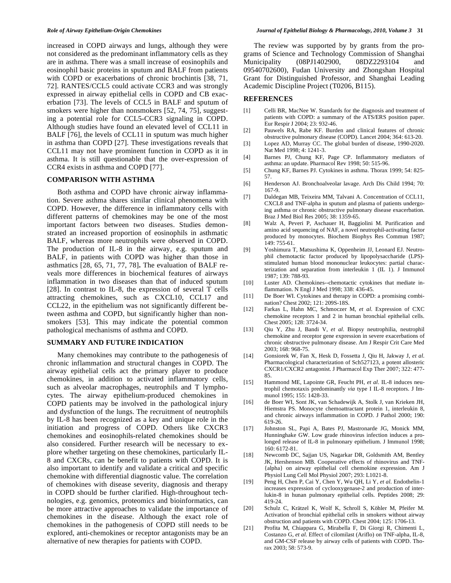increased in COPD airways and lungs, although they were not considered as the predominant inflammatory cells as they are in asthma. There was a small increase of eosinophils and eosinophil basic proteins in sputum and BALF from patients with COPD or exacerbations of chronic brochintis [38, 71, 72]. RANTES/CCL5 could activate CCR3 and was strongly expressed in airway epithelial cells in COPD and CB exacerbation [73]. The levels of CCL5 in BALF and sputum of smokers were higher than nonsmokers [52, 74, 75], suggesting a potential role for CCL5-CCR3 signaling in COPD. Although studies have found an elevated level of CCL11 in BALF [76], the levels of CCL11 in sputum was much higher in asthma than COPD [27]. These investigations reveals that CCL11 may not have prominent function in COPD as it in asthma. It is still questionable that the over-expression of CCR4 exists in asthma and COPD [77].

#### **COMPARISON WITH ASTHMA**

 Both asthma and COPD have chronic airway inflammation. Severe asthma shares similar clinical phenomena with COPD. However, the difference in inflammatory cells with different patterns of chemokines may be one of the most important factors between two diseases. Studies demonstrated an increased proportion of eosinophils in asthmatic BALF, whereas more neutrophils were observed in COPD. The production of IL-8 in the airway, e.g. sputum and BALF, in patients with COPD was higher than those in asthmatics [28, 65, 71, 77, 78]**.** The evaluation of BALF reveals more differences in biochemical features of airways inflammation in two diseases than that of induced sputum [28]. In contrast to IL-8, the expression of several T cells attracting chemokines, such as CXCL10, CCL17 and CCL22, in the epithelium was not significantly different between asthma and COPD, but significantly higher than nonsmokers [53]. This may indicate the potential common pathological mechanisms of asthma and COPD.

### **SUMMARY AND FUTURE INDICATION**

 Many chemokines may contribute to the pathogenesis of chronic inflammation and structural changes in COPD. The airway epithelial cells act the primary player to produce chemokines, in addition to activated inflammatory cells, such as alveolar macrophages, neutrophils and T lymphocytes. The airway epithelium-produced chemokines in COPD patients may be involved in the pathological injury and dysfunction of the lungs. The recruitment of neutrophils by IL-8 has been recognized as a key and unique role in the initiation and progress of COPD. Others like CXCR3 chemokines and eosinophils-related chemokines should be also considered. Further research will be necessary to explore whether targeting on these chemokines, particularly IL-8 and CXCRs, can be benefit to patients with COPD. It is also important to identify and validate a critical and specific chemokine with differential diagnostic value. The correlation of chemokines with disease severity, diagnosis and therapy in COPD should be further clarified. High-throughout technologies, e.g. genomics, proteomics and bioinformatics, can be more attractive approaches to validate the importance of chemokines in the disease. Although the exact role of chemokines in the pathogenesis of COPD still needs to be explored, anti-chemokines or receptor antagonists may be an alternative of new therapies for patients with COPD.

 The review was supported by by grants from the programs of Science and Technology Commission of Shanghai Municipality (08PJ1402900, 08DZ2293104 09540702600), Fudan University and Zhongshan Hospital Grant for Distinguished Professor, and Shanghai Leading Academic Discipline Project (T0206, B115).

#### **REFERENCES**

- [1] Celli BR, MacNee W. Standards for the diagnosis and treatment of patients with COPD: a summary of the ATS/ERS position paper. Eur Respir J 2004; 23: 932-46.
- [2] Pauwels RA, Rabe KF. Burden and clinical features of chronic obstructive pulmonary disease (COPD). Lancet 2004; 364: 613-20.
- [3] Lopez AD, Murray CC. The global burden of disease, 1990-2020. Nat Med 1998; 4: 1241-3.
- [4] Barnes PJ, Chung KF, Page CP. Inflammatory mediators of asthma: an update. Pharmacol Rev 1998; 50: 515-96.
- [5] Chung KF, Barnes PJ. Cytokines in asthma. Thorax 1999; 54: 825- 57.
- [6] Henderson AJ. Bronchoalveolar lavage. Arch Dis Child 1994; 70: 167-9.
- [7] Daldegan MB, Teixeira MM, Talvani A. Concentration of CCL11, CXCL8 and TNF-alpha in sputum and plasma of patients undergoing asthma or chronic obstructive pulmonary disease exacerbation. Braz J Med Biol Res 2005; 38: 1359-65.
- [8] Walz A, Peveri P, Aschauer H, Baggiolini M. Purification and amino acid sequencing of NAF, a novel neutrophil-activating factor produced by monocytes. Biochem Biophys Res Commun 1987; 149: 755-61.
- [9] Yoshimura T, Matsushima K, Oppenheim JJ, Leonard EJ. Neutrophil chemotactic factor produced by lipopolysaccharide (LPS) stimulated human blood mononuclear leukocytes: partial characterization and separation from interleukin 1 (IL 1). J Immunol 1987; 139: 788-93.
- [10] Luster AD. Chemokines--chemotactic cytokines that mediate inflammation. N Engl J Med 1998; 338: 436-45.
- [11] De Boer WI. Cytokines and therapy in COPD: a promising combination? Chest 2002; 121: 209S-18S.
- [12] Farkas L, Hahn MC, Schmoczer M, *et al*. Expression of CXC chemokine receptors 1 and 2 in human bronchial epithelial cells. Chest 2005; 128: 3724-34.
- [13] Qiu Y, Zhu J, Bandi V, *et al*. Biopsy neutrophilia, neutrophil chemokine and receptor gene expression in severe exacerbations of chronic obstructive pulmonary disease. Am J Respir Crit Care Med 2003; 168: 968-75.
- [14] Gonsiorek W, Fan X, Hesk D, Fossetta J, Qiu H, Jakway J, *et al*. Pharmacological characterization of Sch527123, a potent allosteric CXCR1/CXCR2 antagonist. J Pharmacol Exp Ther 2007; 322: 477- 85.
- [15] Hammond ME, Lapointe GR, Feucht PH, *et al*. IL-8 induces neutrophil chemotaxis predominantly *via* type I IL-8 receptors. J Immunol 1995; 155: 1428-33.
- [16] de Boer WI, Sont JK, van Schadewijk A, Stolk J, van Krieken JH, Hiemstra PS. Monocyte chemoattractant protein 1, interleukin 8, and chronic airways inflammation in COPD. J Pathol 2000; 190: 619-26.
- [17] Johnston SL, Papi A, Bates PJ, Mastronarde JG, Monick MM, Hunninghake GW. Low grade rhinovirus infection induces a prolonged release of IL-8 in pulmonary epithelium. J Immunol 1998; 160: 6172-81.
- [18] Newcomb DC, Sajjan US, Nagarkar DR, Goldsmith AM, Bentley JK, Hershenson MB. Cooperative effects of rhinovirus and TNF- {alpha} on airway epithelial cell chemokine expression. Am J Physiol Lung Cell Mol Physiol 2007; 293: L1021-8.
- [19] Peng H, Chen P, Cai Y, Chen Y, Wu QH, Li Y, *et al*. Endothelin-1 increases expression of cyclooxygenase-2 and production of interlukin-8 in hunan pulmonary epithelial cells. Peptides 2008; 29: 419-24.
- [20] Schulz C, Krätzel K, Wolf K, Schroll S, Köhler M, Pfeifer M. Activation of bronchial epithelial cells in smokers without airway obstruction and patients with COPD. Chest 2004; 125: 1706-13.
- [21] Profita M, Chiappara G, Mirabella F, Di Giorgi R, Chimenti L, Costanzo G, *et al*. Effect of cilomilast (Ariflo) on TNF-alpha, IL-8, and GM-CSF release by airway cells of patients with COPD. Thorax 2003; 58: 573-9.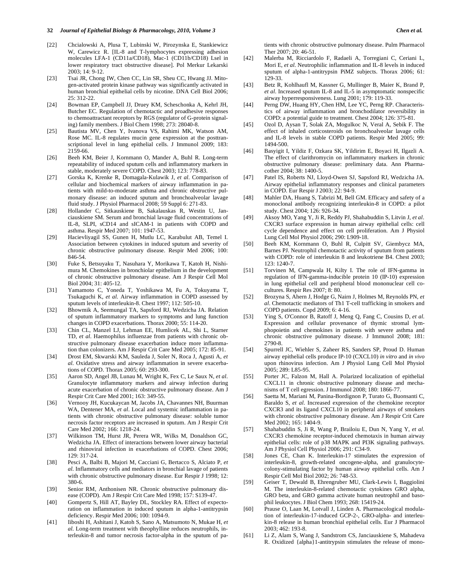#### **32** *Journal of Epithelial Biology & Pharmacology, 2010, Volume 3 Chen et al.*

- [22] Chcialowski A, Plusa T, Lubinski W, Pirozynska E, Stankiewicz W, Carewicz R. [IL-8 and T-lymphocytes expressing adhesion molecules LFA-1 (CD11a/CD18), Mac-1 (CD11b/CD18) Lsel in lower respiratory tract obstructive disease]. Pol Merkur Lekarski 2003; 14: 9-12.
- [23] Tsai JR, Chong IW, Chen CC, Lin SR, Sheu CC, Hwang JJ. Mitogen-activated protein kinase pathway was significantly activated in human bronchial epithelial cells by nicotine. DNA Cell Biol 2006; 25: 312-22.
- [24] Bowman EP, Campbell JJ, Druey KM, Scheschonka A, Kehrl JH, Butcher EC. Regulation of chemotactic and proadhesive responses to chemoattractant receptors by RGS (regulator of G-protein signaling) family members. J Biol Chem 1998; 273: 28040-8.
- [25] Bautista MV, Chen Y, Ivanova VS, Rahimi MK, Watson AM, Rose MC. IL-8 regulates mucin gene expression at the posttranscriptional level in lung epithelial cells. J Immunol 2009; 183: 2159-66.
- [26] Beeh KM, Beier J, Kornmann O, Mander A, Buhl R. Long-term repeatability of induced sputum cells and inflammatory markers in stable, moderately severe COPD. Chest 2003; 123: 778-83.
- [27] Gorska K, Krenke R, Domagala-Kulawik J, *et al*. Comparison of cellular and biochemical markers of airway inflammation in patients with mild-to-moderate asthma and chronic obstructive pulmonary disease: an induced sputum and bronchoalveolar lavage fluid study. J Physiol Pharmacol 2008; 59 Suppl 6: 271-83.
- [28] Hollander C, Sitkauskiene B, Sakalauskas R, Westin U, Janciauskiene SM. Serum and bronchial lavage fluid concentrations of IL-8, SLPI, sCD14 and sICAM-1 in patients with COPD and asthma. Respir Med 2007; 101: 1947-53.
- [29] Hacievliyagil SS, Gunen H, Mutlu LC, Karabulut AB, Temel I. Association between cytokines in induced sputum and severity of chronic obstructive pulmonary disease. Respir Med 2006; 100: 846-54.
- [30] Fuke S, Betsuyaku T, Nasuhara Y, Morikawa T, Katoh H, Nishimura M. Chemokines in bronchiolar epithelium in the development of chronic obstructive pulmonary disease. Am J Respir Cell Mol Biol 2004; 31: 405-12.
- [31] Yamamoto C, Yoneda T, Yoshikawa M, Fu A, Tokuyama T, Tsukaguchi K, *et al*. Airway inflammation in COPD assessed by sputum levels of interleukin-8. Chest 1997; 112: 505-10.
- [32] Bhowmik A, Seemungal TA, Sapsford RJ, Wedzicha JA. Relation of sputum inflammatory markers to symptoms and lung function changes in COPD exacerbations. Thorax 2000; 55: 114-20.
- [33] Chin CL, Manzel LJ, Lehman EE, Humlicek AL, Shi L, Starner TD, *et al*. Haemophilus influenzae from patients with chronic obstructive pulmonary disease exacerbation induce more inflammation than colonizers. Am J Respir Crit Care Med 2005; 172: 85-91.
- [34] Drost EM, Skwarski KM, Sauleda J, Soler N, Roca J, Agusti A, *et al*. Oxidative stress and airway inflammation in severe exacerbations of COPD. Thorax 2005; 60: 293-300.
- [35] Aaron SD, Angel JB, Lunau M, Wright K, Fex C, Le Saux N, *et al*. Granulocyte inflammatory markers and airway infection during acute exacerbation of chronic obstructive pulmonary disease. Am J Respir Crit Care Med 2001; 163: 349-55.
- [36] Vernooy JH, Kucukaycan M, Jacobs JA, Chavannes NH, Buurman WA, Dentener MA, *et al*. Local and systemic inflammation in patients with chronic obstructive pulmonary disease: soluble tumor necrosis factor receptors are increased in sputum. Am J Respir Crit Care Med 2002; 166: 1218-24.
- [37] Wilkinson TM, Hurst JR, Perera WR, Wilks M, Donaldson GC, Wedzicha JA. Effect of interactions between lower airway bacterial and rhinoviral infection in exacerbations of COPD. Chest 2006; 129: 317-24.
- [38] Pesci A, Balbi B, Majori M, Cacciani G, Bertacco S, Alciato P, *et al*. Inflammatory cells and mediators in bronchial lavage of patients with chronic obstructive pulmonary disease. Eur Respir J 1998; 12: 380-6.
- [39] Senior RM, Anthonisen NR. Chronic obstructive pulmonary disease (COPD). Am J Respir Crit Care Med 1998; 157: S139-47.
- [40] Gompertz S, Hill AT, Bayley DL, Stockley RA. Effect of expectoration on inflammation in induced sputum in alpha-1-antitrypsin deficiency. Respir Med 2006; 100: 1094-9.
- [41] Iiboshi H, Ashitani J, Katoh S, Sano A, Matsumoto N, Mukae H, *et al*. Long-term treatment with theophylline reduces neutrophils, interleukin-8 and tumor necrosis factor-alpha in the sputum of pa-

tients with chronic obstructive pulmonary disease. Pulm Pharmacol Ther 2007; 20: 46-51.

- [42] Malerba M, Ricciardolo F, Radaeli A, Torregiani C, Ceriani L, Mori E, *et al*. Neutrophilic inflammation and IL-8 levels in induced sputum of alpha-1-antitrypsin PiMZ subjects. Thorax 2006; 61: 129-33.
- [43] Betz R, Kohlhaufl M, Kassner G, Mullinger B, Maier K, Brand P, *et al*. Increased sputum IL-8 and IL-5 in asymptomatic nonspecific airway hyperresponsiveness. Lung 2001; 179: 119-33.
- [44] Perng DW, Huang HY, Chen HM, Lee YC, Perng RP. Characteristics of airway inflammation and bronchodilator reversibility in COPD: a potential guide to treatment. Chest 2004; 126: 375-81.
- [45] Ozol D, Aysan T, Solak ZA, Mogulkoc N, Veral A, Sebik F. The effect of inhaled corticosteroids on bronchoalveolar lavage cells and IL-8 levels in stable COPD patients. Respir Med 2005; 99: 1494-500.
- [46] Basyigit I, Yildiz F, Ozkara SK, Yildirim E, Boyaci H, Ilgazli A. The effect of clarithromycin on inflammatory markers in chronic obstructive pulmonary disease: preliminary data. Ann Pharmacother 2004; 38: 1400-5.
- [47] Patel IS, Roberts NJ, Lloyd-Owen SJ, Sapsford RJ, Wedzicha JA. Airway epithelial inflammatory responses and clinical parameters in COPD. Eur Respir J 2003; 22: 94-9.
- [48] Mahler DA, Huang S, Tabrizi M, Bell GM. Efficacy and safety of a monoclonal antibody recognizing interleukin-8 in COPD: a pilot study. Chest 2004; 126: 926-34.
- [49] Aksoy MO, Yang Y, Ji R, Reddy PJ, Shahabuddin S, Litvin J, *et al*. CXCR3 surface expression in human airway epithelial cells: cell cycle dependence and effect on cell proliferation. Am J Physiol Lung Cell Mol Physiol 2006; 290: L909-18.
- [50] Beeh KM, Kornmann O, Buhl R, Culpitt SV, Giembycz MA, Barnes PJ. Neutrophil chemotactic activity of sputum from patients with COPD: role of interleukin 8 and leukotriene B4. Chest 2003; 123: 1240-7.
- [51] Torvinen M, Campwala H, Kilty I. The role of IFN-gamma in regulation of IFN-gamma-inducible protein 10 (IP-10) expression in lung epithelial cell and peripheral blood mononuclear cell cocultures. Respir Res 2007; 8: 80.
- [52] Brozyna S, Ahern J, Hodge G, Nairn J, Holmes M, Reynolds PN, *et al*. Chemotactic mediators of Th1 T-cell trafficking in smokers and COPD patients. Copd 2009; 6: 4-16.
- [53] Ying S, O'Connor B, Ratoff J, Meng Q, Fang C, Cousins D, *et al*. Expression and cellular provenance of thymic stromal lymphopoietin and chemokines in patients with severe asthma and chronic obstructive pulmonary disease. J Immunol 2008; 181: 2790-8.
- [54] Spurrell JC, Wiehler S, Zaheer RS, Sanders SP, Proud D. Human airway epithelial cells produce IP-10 (CXCL10) *in vitro* and *in vivo* upon rhinovirus infection. Am J Physiol Lung Cell Mol Physiol 2005; 289: L85-95.
- [55] Porter JC, Falzon M, Hall A. Polarized localization of epithelial CXCL11 in chronic obstructive pulmonary disease and mechanisms of T cell egression. J Immunol 2008; 180: 1866-77.
- [56] Saetta M, Mariani M, Panina-Bordignon P, Turato G, Buonsanti C, Baraldo S, *et al*. Increased expression of the chemokine receptor CXCR3 and its ligand CXCL10 in peripheral airways of smokers with chronic obstructive pulmonary disease. Am J Respir Crit Care Med 2002; 165: 1404-9.
- [57] Shahabuddin S, Ji R, Wang P, Brailoiu E, Dun N, Yang Y, *et al*. CXCR3 chemokine receptor-induced chemotaxis in human airway epithelial cells: role of p38 MAPK and PI3K signaling pathways. Am J Physiol Cell Physiol 2006; 291: C34-9.
- [58] Jones CE, Chan K. Interleukin-17 stimulates the expression of interleukin-8, growth-related oncogene-alpha, and granulocytecolony-stimulating factor by human airway epithelial cells. Am J Respir Cell Mol Biol 2002; 26: 748-53.
- [59] Geiser T, Dewald B, Ehrengruber MU, Clark-Lewis I, Baggiolini M. The interleukin-8-related chemotactic cytokines GRO alpha, GRO beta, and GRO gamma activate human neutrophil and basophil leukocytes. J Biol Chem 1993; 268: 15419-24.
- [60] Prause O, Laan M, Lotvall J, Linden A. Pharmacological modulation of interleukin-17-induced GCP-2-, GRO-alpha- and interleukin-8 release in human bronchial epithelial cells. Eur J Pharmacol 2003; 462: 193-8.
- [61] Li Z, Alam S, Wang J, Sandstrom CS, Janciauskiene S, Mahadeva R. Oxidized {alpha}1-antitrypsin stimulates the release of mono-